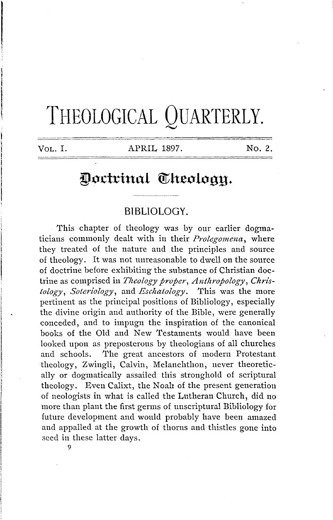# THEOLOGICAL QUARTERLY.

VOL. I. APRIL 1897. No. 2.

## Doctrinal Theoloan.

## **BIBLIOLOGY.**

This chapter of theology was by our earlier dogmaticians commonly dealt with in their *Prolegomena,* where they treated of the nature and the principles and source of theology. It was not unreasonable to dwell on the source of doctrine before exhibiting the substance of Christian doctrine as comprised in *Theology proper, Anthropology, Christology, Soteriology,* and *Eschatology.* This was the more pertinent as the principal positions of Bibliology, especially the divine origin and authority of the Bible, were generally conceded, and to impugn the inspiration of the canonical books of the Old and New Testaments would have been looked upon as preposterous by theologians of all churches and schools. The great ancestors of modern Protestant theology, Zwingli, Calvin, Melanchthon, never theoretically or dogmatically assailed this stronghold of scriptural theology. Even Calixt, the Noah of the present generation of neologists in what is called the Lutheran Church, did no more than plant the first germs of unscriptural Bibliology for future development and would probably have been amazed and appalled at the growth of thorns and thistles gone into seed in these latter days.

9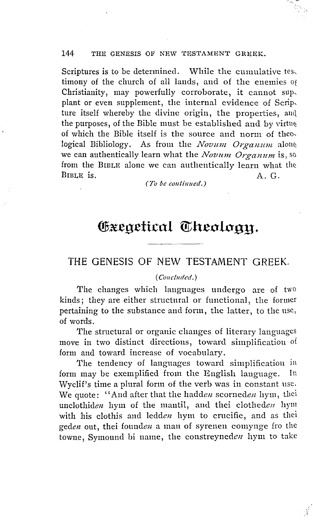Scriptures is to be determined. While the cumulative tes. timony of the church of all lands, and of the enemies of Christianity, may powerfully corroborate, it cannot sup. plant or even supplement, the internal evidence of Scrip. ture itself whereby the divine origin, the properties, and the purposes, of the Bible must be established and by virtue of which the Bible itself is the source and norm of theological Bibliology. As from the *Novum Organum* alone we can authentically learn what the Novum Organum is, so from the BIBLE alone we can authentically learn what the BIBLE is.  $A. G.$ 

(To be continued.)

# Gxegetical Theology.

## THE GENESIS OF NEW TESTAMENT GREEK.

#### (Concluded.)

The changes which languages undergo are of two kinds; they are either structural or functional, the former pertaining to the substance and form, the latter, to the use, of words.

The structural or organic changes of literary languages move in two distinct directions, toward simplification of form and toward increase of vocabulary.

The tendency of languages toward simplification in form may be exemplified from the English language. In Wyclif's time a plural form of the verb was in constant use. We quote: "And after that the hadden scorneden hym, thei unclothiden hym of the mantil, and thei clotheden hym with his clothis and ledden hym to crucifie, and as thei geden out, thei founden a man of syrenen comynge fro the towne. Symound bi name, the constreyneden hym to take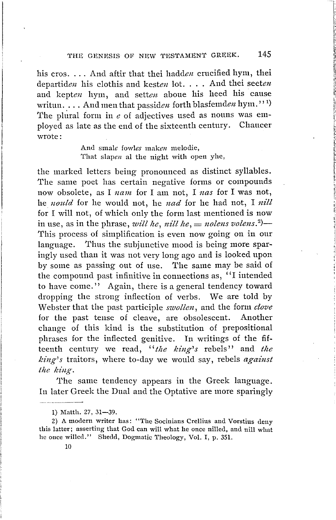his cros. ... And aftir that thei hadden crucified hym, thei departiden his clothis and kesten lot. . . . And thei seeten and kepten hym, and setten aboue his heed his cause writun. . . . And men that passiden forth blasfemden hym."1) The plural form in  $e$  of adjectives used as nouns was employed as late as the end of the sixteenth century. Chaucer wrote:

> And smale fowles maken melodie, That slapen al the night with open yhe,

the marked letters being pronounced as distinct syllables. The same poet has certain negative forms or compounds now obsolete, as I nam for I am not, I nas for I was not, he nould for he would not, he nad for he had not, I nill for I will not, of which only the form last mentioned is now in use, as in the phrase, will he, nill he,  $=$  nolens volens.<sup>2</sup>)-This process of simplification is even now going on in our language. Thus the subjunctive mood is being more sparingly used than it was not very long ago and is looked upon by some as passing out of use. The same may be said of the compound past infinitive in connections as, "I intended to have come." Again, there is a general tendency toward dropping the strong inflection of verbs. We are told by Webster that the past participle swollen, and the form clove for the past tense of cleave, are obsolescent. Another change of this kind is the substitution of prepositional phrases for the inflected genitive. In writings of the fifteenth century we read, "the king's rebels" and the  $king's$  traitors, where to-day we would say, rebels  $against$ the king.

The same tendency appears in the Greek language. In later Greek the Dual and the Optative are more sparingly

<sup>1)</sup> Matth. 27, 31-39.

<sup>2)</sup> A modern writer has: "The Socinians Crellius and Vorstius deny this latter; asserting that God can will what he once nilled, and nill what he once willed." Shedd, Dogmatic Theology, Vol. I, p. 351.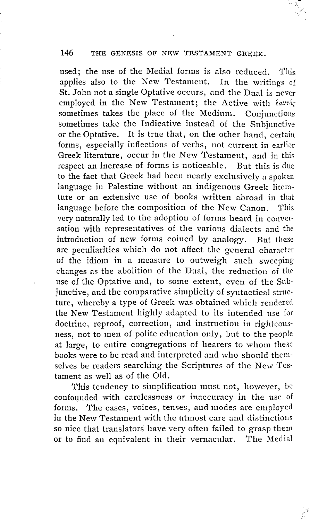used; the use of the Medial forms is also reduced. This applies also to the New Testament. In the writings of St. John not a single Optative occurs, and the Dual is never employed in the New Testament; the Active with  $\frac{\partial u}{\partial x}$ sometimes takes the place of the Medium. Conjunctions sometimes take the Indicative instead of the Subjunctive or the Optative. It is true that, on the other hand, certain forms, especially inflections of verbs, not current in earlier Greek literature, occur in the New 'l'estament, and in this respect an increase of forms is noticeable. But this is due to the fact that Greek had been nearly exclusively a spoken language in Palestine without an indigenous Greek literature or an extensive use of books written abroad in that language before the composition of the New Canon. This very naturally led to the adoption of forms heard in conversation with representatives of the various dialects and the introduction of new forms coined by analogy. But these are peculiarities which do not affect the general character of the idiom in a measure to outweigh such sweeping changes as the abolition of the Dual, the reduction of the use of the Optative and, to some extent, even of the Subjunctive, and the comparative simplicity of syntactical structure, whereby a type of Greek was obtained which rendered the New Testament highly adapted to its intended use for doctrine, reproof, correction, and instruction in righteousness, not to men of polite education only, but to the people at large, to entire congregations of hearers to whom these books were to be read and interpreted and who should themselves be readers searching the Scriptures of the New Testament as well as of the Old.

This tendency to simplification must not, however, be confounded with carelessness or inaccuracy in the use of forms. The cases, voices, tenses, and modes are employed in the New Testament with the utmost care and distinctions so nice that translators have very often failed to grasp them or to find an equivalent in their vernacular. The Medial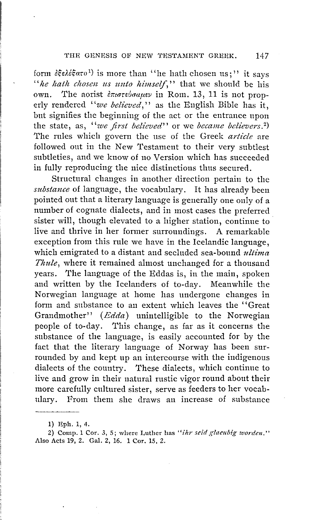form *&§e). is* more than "he hath chosen us;" it says "he hath chosen us unto himself," that we should be his own. The aorist *επιστεύσαμεν* in Rom. 13, 11 is not properly rendered *''we believed,''* as the English Bible has it, but signifies the beginning of the act or the entrance upon the state, as, *"we first believed"* or we *became believers. <sup>2</sup> )*  The rules which govern the use of the Greek *article* are followed out in the New Testament to their very subtlest subtleties, and we know of no Version which has succeeded in fully reproducing the nice distinctions thus secured.

Structural changes in another direction pertain to the *substance* of language, the vocabulary. It has already been pointed out that a literary language is generally one only of a number of cognate dialects, and in most cases the preferred sister will, though elevated to a higher station, continue to live and thrive in her former surroundings. A remarkable exception from this rule we have in the Icelandic language, which emigrated to a distant and secluded sea-bound *ultima Thule,* where it remained almost unchanged for a thousand years. The language of the Eddas is, in the main, spoken and written by the Icelanders of to-day. Meanwhile the Norwegian language at home has undergone changes in form and substance to an extent which leaves the ''Great Grandmother" *(Edda)* unintelligible to the Norwegian people of to-day. This change, as far as it concerns the substance of the language, is easily accounted for by the fact that the literary language of Norway has been surrounded by and kept up an intercourse with the indigenous dialects of the country. These dialects, which continue to live and grow in their natural rustic vigor round about their more carefully cultured sister, serve as feeders to her vocabulary. From them she draws an increase of substance

<sup>1)</sup> Eph. 1, 4.

<sup>2)</sup> Comp. 1 Cor. 3, 5; where Luther has "ihr seid glaeubig worden." Also Acts 19, 2. Gal. 2, 16. 1 Cor. 15, 2.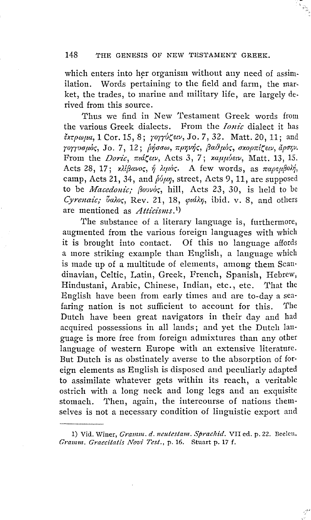which enters into her organism without any need of assimilation. Words pertaining to the field and farm, the market, the trades, to marine and military life, are largely derived from this source.

Thus we find in New Testament Greek words from the various Greek dialects. From the *Ionic* dialect it has *frrpwpa,* 1 Cor. 15, 8; *rorru(ew,* Jo. *7,* 32. Matt. 20, 11; and *rorruaµlx;,* Jo. *7,* 12; *(J1aaw, 1rpr;vlj,, fia8µo,, axoprd(e,v, iJ.pm;v.*  From the *Doric, md.(eev,* Acts 3, 7; *xaµµue,v,* Matt. 13, 15. Acts 28, 17; *xλίβανος, ή λιμός*. A few words, as παρεμβολή, camp, Acts 21, 34, and  $\delta \psi \nu \eta$ , street, Acts 9, 11, are supposed to be *Macedonic; fiouvo;,* hill, Acts 23, 30, is held to be Cyrenaic; *balos*, Rev. 21, 18, *çidin*, *ibid. v. 8*, and others are mentioned as *Atticisms*.<sup>1</sup>)

The substance of a literary language is, furthermore, augmented from the various foreign languages with which it is brought into contact. Of this no language affords a more striking example than English, a language which is made up of a multitude of elements, among them Scan· dinavian, Celtic, Latin, Greek, French, Spanish, Hebrew, Hindustani, Arabic, Chinese, Indian, etc., etc. That the English have been from early times and are to-day a sea· faring nation is not sufficient to account for this. The Dutch have been great navigators in their day and had acquired possessions in all lauds; and yet the Dutch lan· guage is more free from foreign admixtures than any other language of western Europe with an extensive literature. But Dutch is as obstinately averse to the absorption of foreign elements as English is disposed and peculiarly adapted to assimilate whatever gets within its reach, a veritable ostrich with a long neck and long legs and an exquisite stomach. Then, again, the intercourse of nations themselves is not a necessary condition of linguistic export and

<sup>1)</sup> Vid. Winer, *Gramm. d. neutestam. Sprachid.* VII ed. p. 22. Beelen. *Gramm. Graecitatis Novi Test.,* p. 16. Stuart p. 17 f.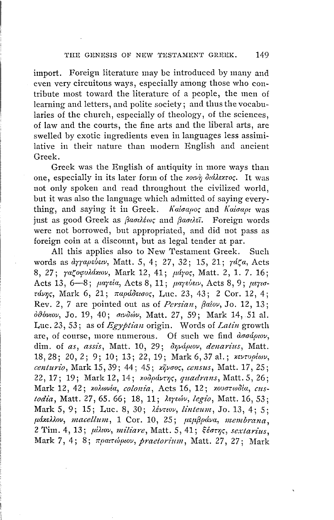import. Foreign literature may be introduced by many and even very circuitous ways, especially among those who contribute most toward the literature of a people, the men of learning and letters, and polite society; and thus the vocabularies of the church, especially of theology, of the sciences, of law and the courts, the fine arts and the liberal arts, are swelled by exotic ingredients even in languages less assimilative in their nature than modern English and ancient Greek.

Greek was the English of antiquity in more ways than one, especially in its later form of the *χοινη διάλεχτος*. It was not only spoken and read throughout the civilized world, but it was also the language which admitted of saying everything, and saying it in Greek. *Ka!aapor;* and *Ka!aape* was just as good Greek as *faoultos* and *faoulei*. Foreign words were not borrowed, but appropriated, and did not pass as foreign coin at a discount, but as legal tender at par.

All this applies also to New Testament Greek. Such words as *dγrapεύειν*, Matt. 5, 4; 27, 32; 15, 21; *γάζα*, Acts 8, 27;  $ra\zeta$ oφυλάκιον, Mark 12, 41; μάγος, Matt. 2, 1. 7. 16; Acts 13, 6-8; *parela*, Acts 8, 11; *parebea,* Acts 8, 9; *psrordv7Jr;,* Mark 6, 21; *rrapd<>eeaor;,* Luc. 23, 43; 2 Cor. 12, 4; Rev. 2, 7 are pointed out as of *Persian*,  $\beta$ aiov, Jo. 12, 13;  $\partial$ θόνιον, Jo. 19, 40; σινδιών, Matt. 27, 59; Mark 14, 51 al. Luc. 23, 53; as of *Egyptian* origin. Words of *Latin* growth are, of course, more numerous. Of such we find  $d\sigma d\rho u \sigma \nu$ , dim. of as, assis, Matt. 10, 29;  $\partial \eta \nu \dot{\alpha} \rho \omega \nu$ , denarius, Matt. 18, 28; 20, 2; 9; 10; 13; 22, 19; Mark 6, 37 al.; xevruplav, *centurio,* Mark 15, 39; 44; 45; *x~vaor;, census,* Matt. 17, 25; 22, 17; 19; Mark 12, 14; *κοδράντης, quadrans*, Matt. 5, 26; Mark 12, 42; *xolavia, colonia*, Acts 16, 12; *xovoradia, custodia,* Matt. 27, 65. 66; 18, 11; *Ae7uov, legio,* Matt. 16, 53; Mark 5, 9; 15; Luc. 8, 30;  $\lambda \neq v \in W$ , *linteum*, Jo. 13, 4; 5; *11.dxd)..ov, macell11m,* l Cor. 10, 25; *11.eµ/3pdva, membrana,*  2 Tim. 4, 13; *μίλιον, miliare*, Matt. 5, 41; ξέστης, *sextarius*, Mark 7, 4; 8; *rrpamopwll, praetorium,* Matt. 27, 27; Mark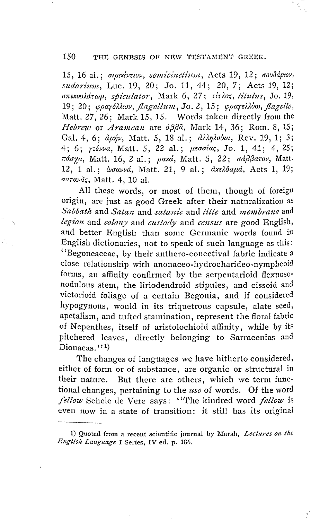15, 16 al.; σιμικίντιον, semicinctium, Acts 19, 12; σουδάριον, sudarium, Luc. 19, 20; Jo. 11, 44; 20, 7; Acts 19, 12; σπεκουλάτωρ, spiculator, Mark 6, 27; τίτλος, titulus, Jo. 19, 19; 20; φραγέλλιον, flagellum, Jo. 2, 15; φραγελλόω, flagello, Matt. 27, 26; Mark 15, 15. Words taken directly from the Hebrew or Aramean are  $d\beta\beta\tilde{a}$ , Mark 14, 36; Rom. 8, 15; Gal. 4, 6;  $d\mu\dot{\eta}\nu$ , Matt. 5, 18 al.;  $d\lambda\dot{\eta}d\delta\dot{\nu}a$ , Rev. 19, 1; 3; 4; 6; reśvva, Matt. 5, 22 al.; μεσσίας, Jo. 1, 41; 4, 25; πάσχα, Matt. 16, 2 al.; ρακά, Matt. 5, 22; σάββατον, Matt. 12, 1 al.; woaved, Matt. 21, 9 al.; dxsloaud, Acts 1, 19; σατανᾶς, Matt. 4, 10 al.

All these words, or most of them, though of foreign origin, are just as good Greek after their naturalization as Sabbath and Satan and satanic and title and membrane and legion and colony and custody and census are good English, and better English than some Germanic words found in English dictionaries, not to speak of such language as this: "Begoneaceae, by their anthero-conectival fabric indicate a close relationship with anonaceo-hydrocharideo-nympheoid forms, an affinity confirmed by the serpentarioid flexuosonodulous stem, the liriodendroid stipules, and cissoid and victorioid foliage of a certain Begonia, and if considered hypogynous, would in its triquetrous capsule, alate seed, apetalism, and tufted stamination, represent the floral fabric of Nepenthes, itself of aristolochioid affinity, while by its pitchered leaves, directly belonging to Sarracenias and Dionaeas. $1,1)$ 

The changes of languages we have hitherto considered, either of form or of substance, are organic or structural in But there are others, which we term functheir nature. tional changes, pertaining to the use of words. Of the word fellow Schele de Vere says: "The kindred word fellow is even now in a state of transition: it still has its original

1) Quoted from a recent scientific journal by Marsh, Lectures on the English Language I Series, IV ed. p. 186.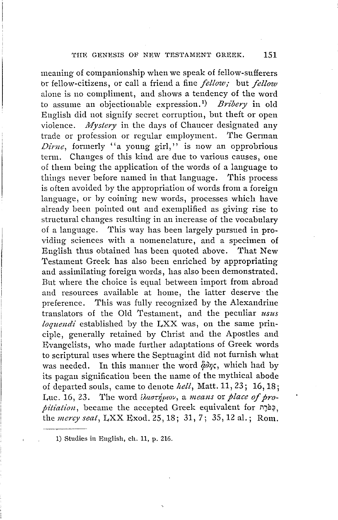meaning of companionship when we speak of fellow-sufferers br fellow-citizens, or call a friend a fine *fellow;* but *fellow*  alone is no compliment, and shows a tendency of the word to assume an objectionable expression.<sup>1</sup> ) *Bribery* **in** old English did not signify secret corruption, but theft or open violence. *1Wystery* in the days of Chaucer designated any trade or profession or regular employment. The German *Dirne*, formerly "a young girl," is now an opprobrious term. Changes of this kind are due to various causes, one of them being the application of the words of a language to things never before named in that language. This process is often avoided by the appropriation of words from a foreign language, or by coining new words, processes which have already been pointed out and exemplified as giving rise to structural changes resulting in an increase of the vocabulary of a language. This way has been largely pursued in providing sciences with a nomenclature, and a specimen of English thus obtained has been quoted above. That New Testament Greek has also been enriched by appropriating and assimilating foreign words, has also been demonstrated. But where the choice is equal between import from abroad and resources available at home, the latter deserve· the preference. 'I'his was fully recognized by the Alexandrine translators of the Old Testament, and the peculiar *usus loquendi* established by the LXX was, on the same principle, generally retained by Christ and the Apostles and Evangelists, who made further adaptations of Greek words to scriptural uses where the Septuagint did not furnish what was needed. In this manner the word  $\ddot{\varphi}$ o $\eta$ , which had by its pagan signification been the name of the mythical abode of departed souls, came to denote hell, Matt. 11, 23; 16, 18; Luc. 16, 23. The word *{Aaovipiov, a means or place of propitiation*, became the accepted Greek equivalent for תַּפֹּרֶת the *mercy seat,* LXX Exod. 25, 18; 31, 7; 35, 12 al.; Rom.

1) Studies in English, ch. 11, p. 216.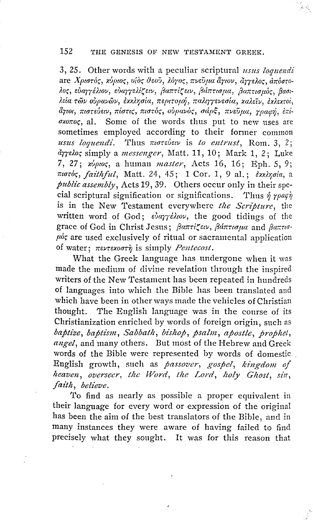3, 25. Other words with a peculiar scriptural usus loquendi ατε Χριστός, χύριος, υίδς θεού, λόγος, πνεύμα άγιον, άγγελος, απόστολος εύανγέλιον εύανγελίζειν, βαπτίζειν, βάπτισμα, βαπτισμός, βασιλεία των ουρανών, εχχλησία, περιτομή, παλιγγενεσία, χαλεΐν, εχλεχτοί, άγιοι, πιστεύειν, πίστις, πιστός, ούρανός, σάρξ, πνεύμα, γραφή, επί- $\sigma$ *zoroc*, al. Some of the words thus put to new uses are sometimes employed according to their former common usus loquendi. Thus *moreber* is to entrust, Rom. 3, 2; úrrelos simply a *messenger*, Matt. 11, 10; Mark 1, 2; Luke 7, 27; xυριος, a human master, Acts 16, 16; Eph. 5, 9; πιστός, faithful, Matt. 24, 45; 1 Cor. 1, 9 al.; εχκλησία, a public assembly, Acts 19, 39. Others occur only in their special scriptural signification or significations. Thus ή γραφή is in the New Testament everywhere the Scripture, the written word of God; ευαγγέλιον, the good tidings of the grace of God in Christ Jesus: βαπτίζειν, βάπτισμα and βαπτισ- $\mu$ % are used exclusively of ritual or sacramental application of water;  $\pi \in \mathcal{L}$  and  $\pi \in \mathcal{L}$  is simply *Pentecost*.

What the Greek language has undergone when it was made the medium of divine revelation through the inspired writers of the New Testament has been repeated in hundreds of languages into which the Bible has been translated and which have been in other ways made the vehicles of Christian thought. The English language was in the course of its Christianization enriched by words of foreign origin, such as baptize, baptism, Sabbath, bishop, psalm, apostle, prophet, angel, and many others. But most of the Hebrew and Greek words of the Bible were represented by words of domestic. English growth, such as passover, gospel, kingdom of heaven, overseer, the Word, the Lord, holy Ghost, sin, faith, believe.

To find as nearly as possible a proper equivalent in their language for every word or expression of the original has been the aim of the best translators of the Bible, and in many instances they were aware of having failed to find precisely what they sought. It was for this reason that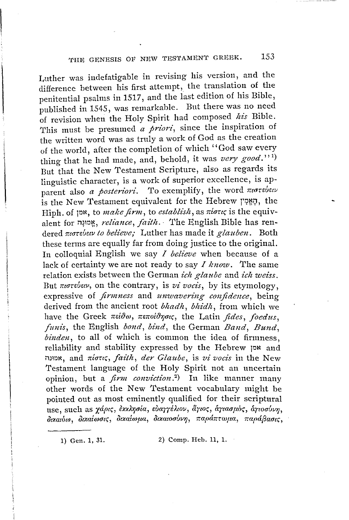Luther was indefatigable in revising his version, and the difference between his first attempt, the translation of the penitential psalms in 1517, and the last edition of his Bible, published in 1545, was remarkable. But there was no need of revision when the Holy Spirit had composed *his* Bible. This must be presumed *a priori*, since the inspiration of the written word was as truly a work of God as the creation of the world, after the completion of which "God saw every thing that he had made, and, behold, it was *very good.''* <sup>1</sup> ) But that the New Testament Scripture, also as regards its linguistic character, is a work of superior excellence, is apparent also *a posteriori*. To exemplify, the word *morebew* is the New Testament equivalent for the Hebrew will, the Hiph. of *p<sup>x</sup>*, *to make firm*, *to establish*, as πίστις is the equivalent for n~m~, *reliance, faith.·* 'rhe English Bible has rendered *mardmv to believe,-* Luther has made it *glauben.* Both these terms are equally far from doing justice to the original. In colloquial English we say *I believe* when because of a lack of certainty we are not ready to say *I know.* The same relation exists between the German *ich glaube* and *ich weiss.* But *morebery*, on the contrary, is *vi vocis*, by its etymology, expressive of *firmness* and *unwavering confidence,* being derived from the ancient root *bhadh*, *bhidh*, from which we have the Greek πείθω, πεποίθησις, the Latin *fides, foedus*, *funis*, the English *bond*, *bind*, the German *Band*, *Bund*, *binden*. to all of which is common the idea of firmness. *binden,* to all of which is common the idea of firmness ' reliability and stability expressed by the Hebrew JON and ilJmN, and rrlan(, *faith, der Glaube,* is *vi vocis* in the New Testament language of the Holy Spirit not an uncertain opinion, but a *firm conviction* . 2 ) In like manner many other words of the New Testament vocabulary might be pointed out as most eminently qualified for their scriptural<br>use, such as  $\gamma d\rho c_5$ , ελεκλησία, ευαγγέλιον, άγιος, άγιασμός, άγιοσύνη, use, such as *xapt(, Jxx):r;ala, d.1arri).wv, l1rw,, o.rma11a,, o.rwauvr;, "* , f\ , f\ I ~,::-, I *f f OtxawoJ, otxai,0<1t(, otxaiwpa, utxawauvl), napo.nrw11a, napaf)aau;,* 

1) Gen. 1, 31. 2) Comp. Heb. 11, 1.